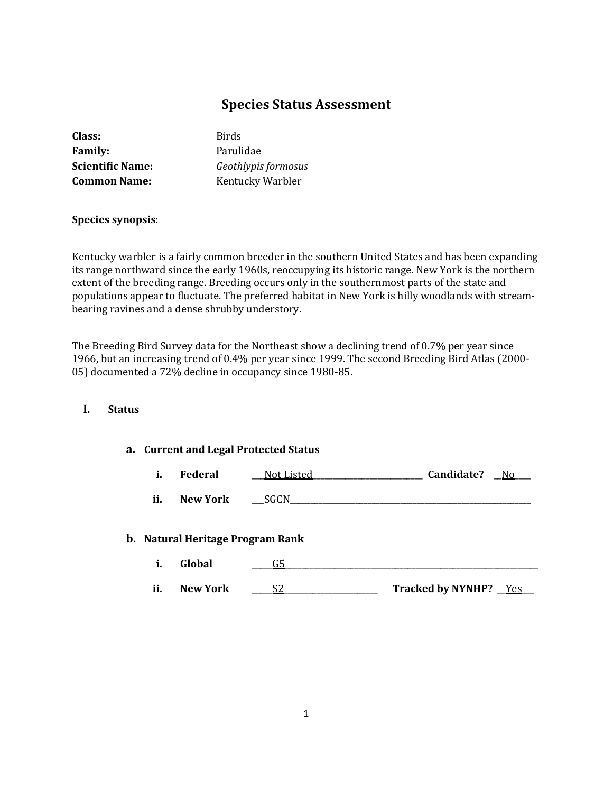# **Species Status Assessment**

| Class:                  | <b>Birds</b>        |
|-------------------------|---------------------|
| <b>Family:</b>          | Parulidae           |
| <b>Scientific Name:</b> | Geothlypis formosus |
| <b>Common Name:</b>     | Kentucky Warbler    |
|                         |                     |

### **Species synopsis**:

Kentucky warbler is a fairly common breeder in the southern United States and has been expanding its range northward since the early 1960s, reoccupying its historic range. New York is the northern extent of the breeding range. Breeding occurs only in the southernmost parts of the state and populations appear to fluctuate. The preferred habitat in New York is hilly woodlands with streambearing ravines and a dense shrubby understory.

The Breeding Bird Survey data for the Northeast show a declining trend of 0.7% per year since 1966, but an increasing trend of 0.4% per year since 1999. The second Breeding Bird Atlas (2000- 05) documented a 72% decline in occupancy since 1980-85.

### **I. Status**

#### **a. Current and Legal Protected Status**

**i. Federal** \_\_\_Not Listed\_\_\_\_\_\_\_\_\_\_\_\_\_\_\_\_\_\_\_\_\_\_\_\_\_\_\_ **Candidate?** \_\_No\_\_\_\_

**ii.** New York **SGCN** 

#### **b. Natural Heritage Program Rank**

| i.  | Global   |                                 |
|-----|----------|---------------------------------|
| ii. | New York | <b>Tracked by NYNHP?</b><br>Yes |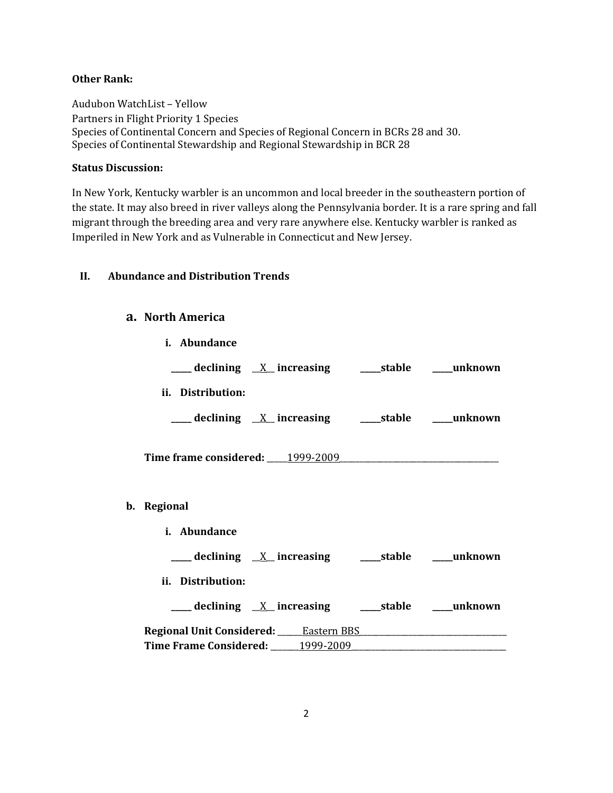## **Other Rank:**

Audubon WatchList – Yellow Partners in Flight Priority 1 Species Species of Continental Concern and Species of Regional Concern in BCRs 28 and 30. Species of Continental Stewardship and Regional Stewardship in BCR 28

### **Status Discussion:**

**b**.

In New York, Kentucky warbler is an uncommon and local breeder in the southeastern portion of the state. It may also breed in river valleys along the Pennsylvania border. It is a rare spring and fall migrant through the breeding area and very rare anywhere else. Kentucky warbler is ranked as Imperiled in New York and as Vulnerable in Connecticut and New Jersey.

## **II. Abundance and Distribution Trends**

## **a. North America**

| i. Abundance                                                                                                    |  |  |  |
|-----------------------------------------------------------------------------------------------------------------|--|--|--|
| ___ declining <u>X</u> increasing ____ stable ____ unknown                                                      |  |  |  |
| ii. Distribution:                                                                                               |  |  |  |
| ___ declining <u>X</u> increasing ____stable ____unknown                                                        |  |  |  |
| Time frame considered: 1999-2009                                                                                |  |  |  |
|                                                                                                                 |  |  |  |
| Regional                                                                                                        |  |  |  |
| i. Abundance                                                                                                    |  |  |  |
|                                                                                                                 |  |  |  |
| ii. Distribution:                                                                                               |  |  |  |
|                                                                                                                 |  |  |  |
| Regional Unit Considered: Eastern BBS [198] [198] [198] [198] [198] [198] [198] [198] [198] [198] [198] [198] [ |  |  |  |
| Time Frame Considered: 1999-2009                                                                                |  |  |  |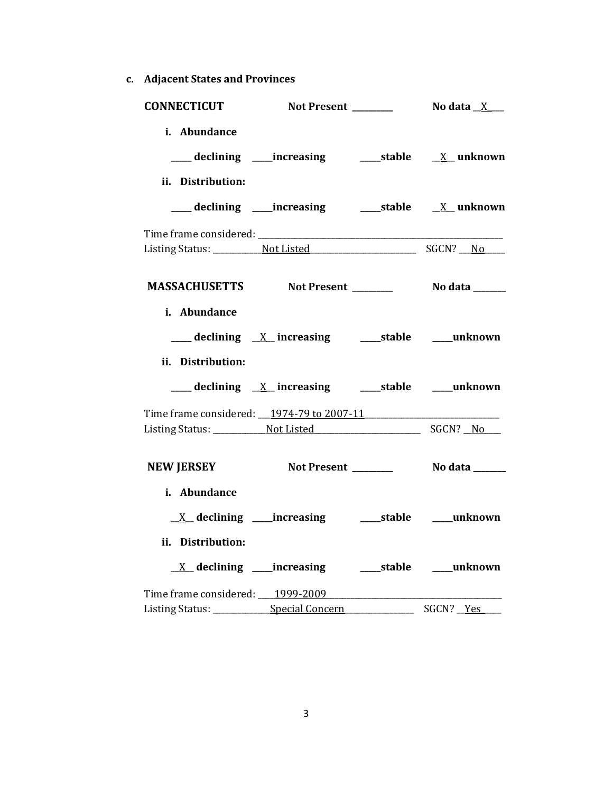**c. Adjacent States and Provinces**

| <b>CONNECTICUT</b>                             |                                                                         |                  |
|------------------------------------------------|-------------------------------------------------------------------------|------------------|
| i. Abundance                                   |                                                                         |                  |
|                                                |                                                                         |                  |
| ii. Distribution:                              |                                                                         |                  |
|                                                |                                                                         |                  |
|                                                |                                                                         |                  |
|                                                |                                                                         |                  |
|                                                | MASSACHUSETTS Not Present _________ No data ______                      |                  |
| i. Abundance                                   |                                                                         |                  |
|                                                |                                                                         |                  |
| ii. Distribution:                              |                                                                         |                  |
|                                                |                                                                         |                  |
| Time frame considered: 1974-79 to 2007-11      |                                                                         |                  |
|                                                |                                                                         |                  |
| NEW JERSEY Not Present ________ No data ______ |                                                                         |                  |
| i. Abundance                                   |                                                                         |                  |
|                                                | $\underline{X}$ declining ____increasing ___________stable _____unknown |                  |
| ii. Distribution:                              |                                                                         |                  |
|                                                |                                                                         |                  |
| Time frame considered: 1999-2009               |                                                                         |                  |
| Listing Status: _____________Special Concern   |                                                                         | SGCN? <u>Yes</u> |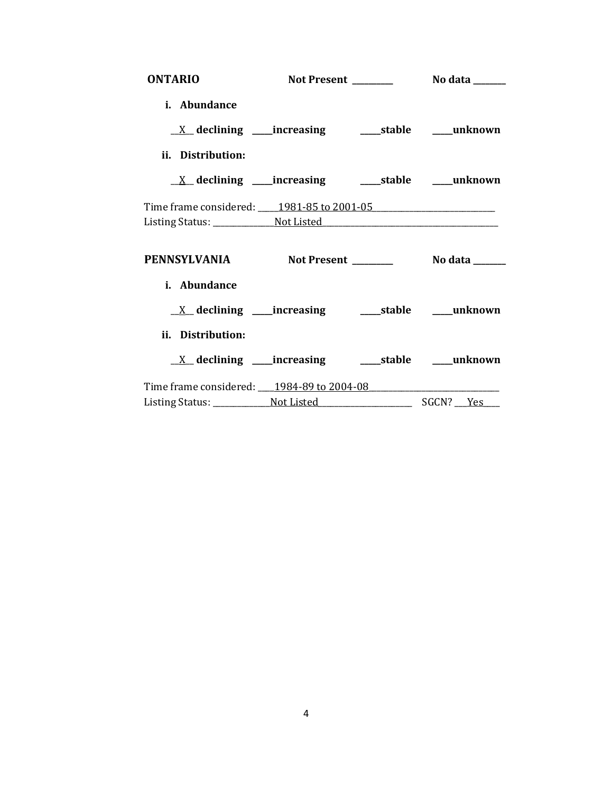| <b>ONTARIO</b>                                   |  |  |
|--------------------------------------------------|--|--|
| i. Abundance                                     |  |  |
|                                                  |  |  |
| ii. Distribution:                                |  |  |
|                                                  |  |  |
| Time frame considered: 1981-85 to 2001-05        |  |  |
|                                                  |  |  |
| PENNSYLVANIA Not Present ________ No data ______ |  |  |
| i. Abundance                                     |  |  |
|                                                  |  |  |
| ii. Distribution:                                |  |  |
|                                                  |  |  |
| Time frame considered: 1984-89 to 2004-08        |  |  |
|                                                  |  |  |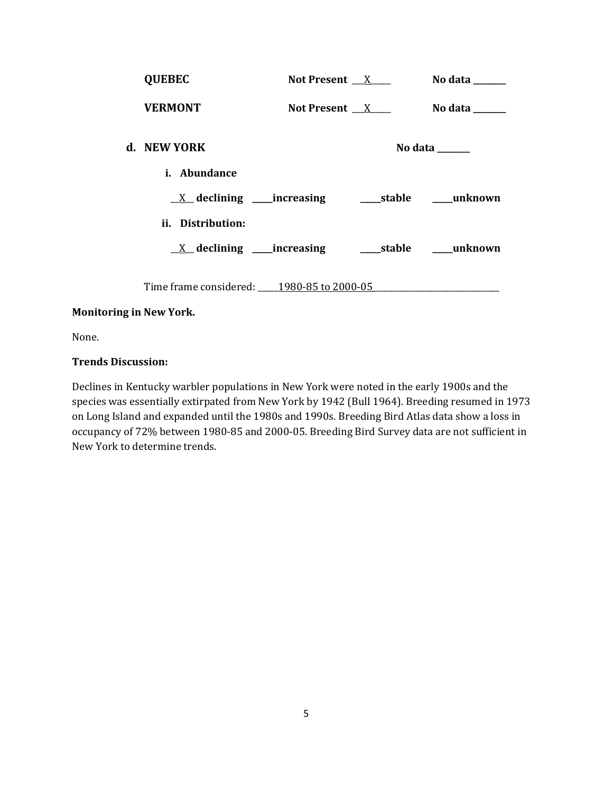| <b>QUEBEC</b>                             | Not Present $X$ | No data ______                    |
|-------------------------------------------|-----------------|-----------------------------------|
| <b>VERMONT</b>                            | Not Present $X$ | No data $\_\_\_\_\_\_\_\_\_\_\_\$ |
| d. NEW YORK                               |                 | No data $\_\_\_\_\_\_\_\_\_\_\_\$ |
| <i>i.</i> Abundance                       |                 |                                   |
|                                           |                 |                                   |
| ii. Distribution:                         |                 |                                   |
|                                           |                 |                                   |
| Time frame considered: 1980-85 to 2000-05 |                 |                                   |

## **Monitoring in New York.**

None.

### **Trends Discussion:**

Declines in Kentucky warbler populations in New York were noted in the early 1900s and the species was essentially extirpated from New York by 1942 (Bull 1964). Breeding resumed in 1973 on Long Island and expanded until the 1980s and 1990s. Breeding Bird Atlas data show a loss in occupancy of 72% between 1980-85 and 2000-05. Breeding Bird Survey data are not sufficient in New York to determine trends.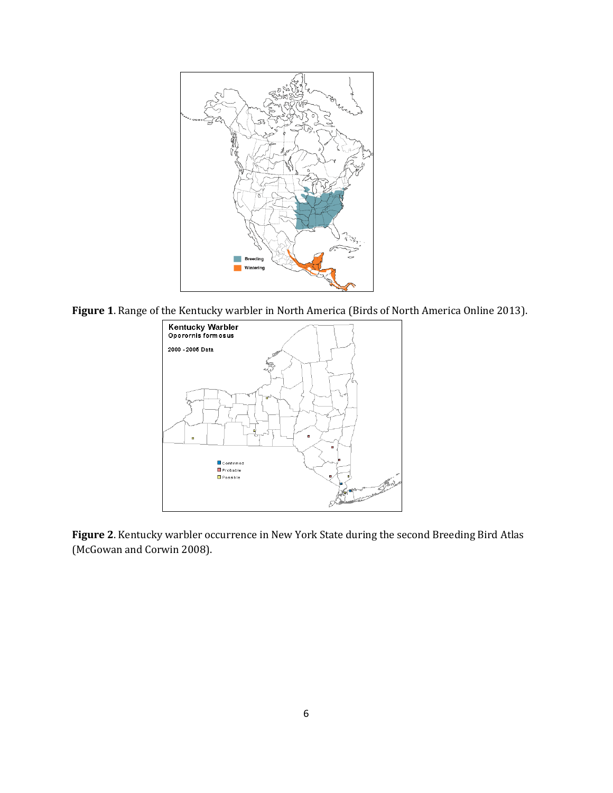

**Figure 1**. Range of the Kentucky warbler in North America (Birds of North America Online 2013).



**Figure 2**. Kentucky warbler occurrence in New York State during the second Breeding Bird Atlas (McGowan and Corwin 2008).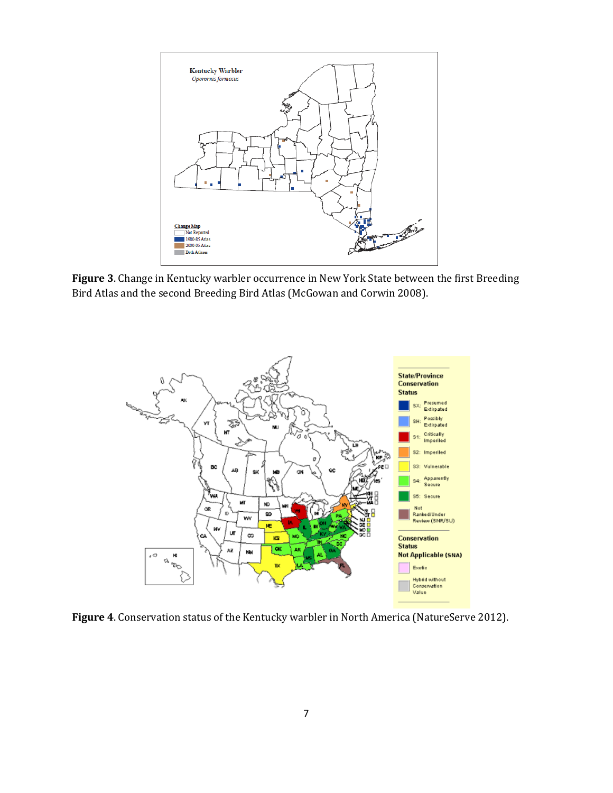

**Figure 3**. Change in Kentucky warbler occurrence in New York State between the first Breeding Bird Atlas and the second Breeding Bird Atlas (McGowan and Corwin 2008).



**Figure 4**. Conservation status of the Kentucky warbler in North America (NatureServe 2012).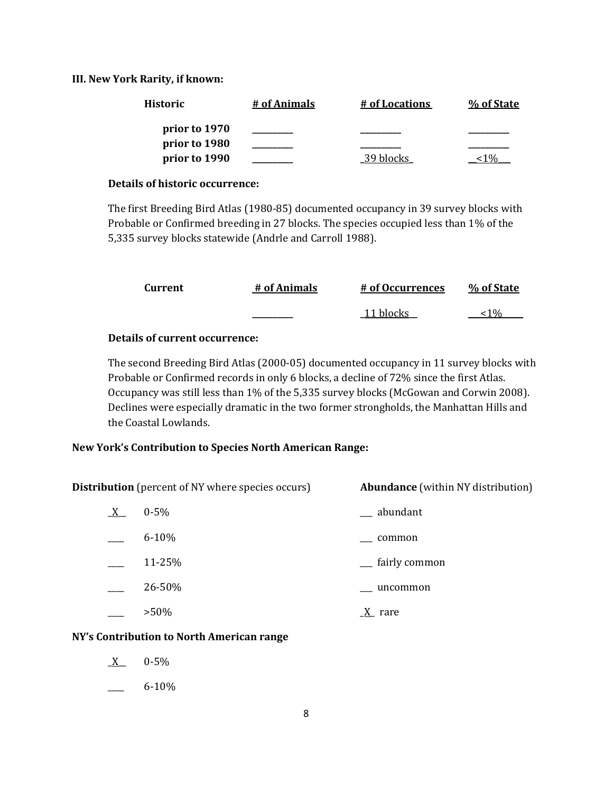#### **III. New York Rarity, if known:**

| <b>Historic</b> | # of Animals | # of Locations | % of State |
|-----------------|--------------|----------------|------------|
| prior to 1970   |              |                |            |
| prior to 1980   |              |                |            |
| prior to 1990   |              | 39 blocks      |            |

#### **Details of historic occurrence:**

The first Breeding Bird Atlas (1980-85) documented occupancy in 39 survey blocks with Probable or Confirmed breeding in 27 blocks. The species occupied less than 1% of the 5,335 survey blocks statewide (Andrle and Carroll 1988).

| Current | # of Animals | # of Occurrences | % of State      |
|---------|--------------|------------------|-----------------|
|         |              | 11 blocks        | 10 <sub>0</sub> |

### **Details of current occurrence:**

The second Breeding Bird Atlas (2000-05) documented occupancy in 11 survey blocks with Probable or Confirmed records in only 6 blocks, a decline of 72% since the first Atlas. Occupancy was still less than 1% of the 5,335 survey blocks (McGowan and Corwin 2008). Declines were especially dramatic in the two former strongholds, the Manhattan Hills and the Coastal Lowlands.

### **New York's Contribution to Species North American Range:**

**Distribution** (percent of NY where species occurs) **Abundance** (within NY distribution)

| $X_{-}$ | $0 - 5\%$ | abundant      |
|---------|-----------|---------------|
|         | $6 - 10%$ | common        |
|         | 11-25%    | fairly common |
|         | 26-50%    | uncommon      |
|         | $>50\%$   | rare          |

### **NY's Contribution to North American range**

- $X = 0.5\%$
- $6 10\%$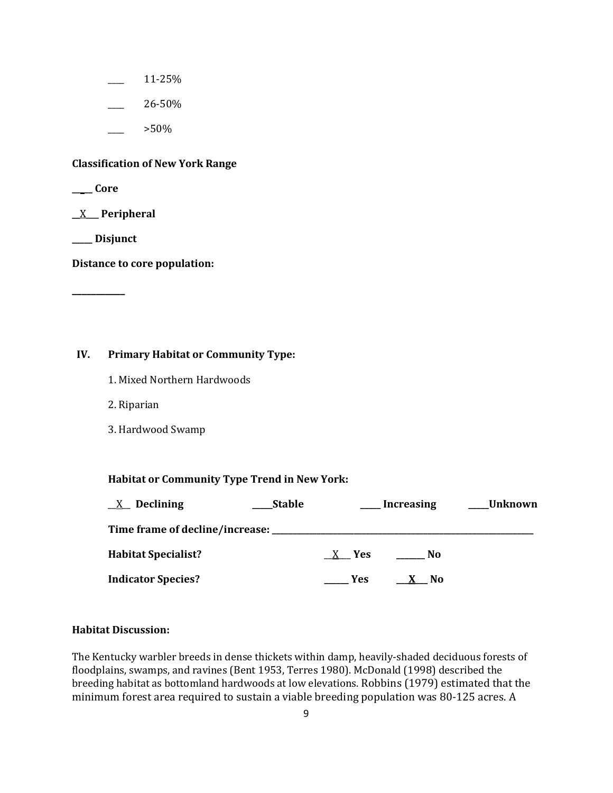- \_\_\_\_ 11-25%
- \_\_\_\_ 26-50%
	- \_\_\_\_ >50%

### **Classification of New York Range**

**\_\_\_\_\_ Core**

**\_\_**X\_\_\_ **Peripheral**

**\_\_\_\_\_ Disjunct**

**\_\_\_\_\_\_\_\_\_\_\_**

**Distance to core population:**

## **IV. Primary Habitat or Community Type:**

- 1. Mixed Northern Hardwoods
- 2. Riparian
- 3. Hardwood Swamp

### **Habitat or Community Type Trend in New York:**

| <b>Declining</b><br>X                       | <b>Stable</b> |            | <b>Increasing</b> | Unknown |
|---------------------------------------------|---------------|------------|-------------------|---------|
| Time frame of decline/increase: ___________ |               |            |                   |         |
| <b>Habitat Specialist?</b>                  |               | X Yes      | - No              |         |
| <b>Indicator Species?</b>                   |               | <b>Yes</b> | . No              |         |

### **Habitat Discussion:**

The Kentucky warbler breeds in dense thickets within damp, heavily-shaded deciduous forests of floodplains, swamps, and ravines (Bent 1953, Terres 1980). McDonald (1998) described the breeding habitat as bottomland hardwoods at low elevations. Robbins (1979) estimated that the minimum forest area required to sustain a viable breeding population was 80-125 acres. A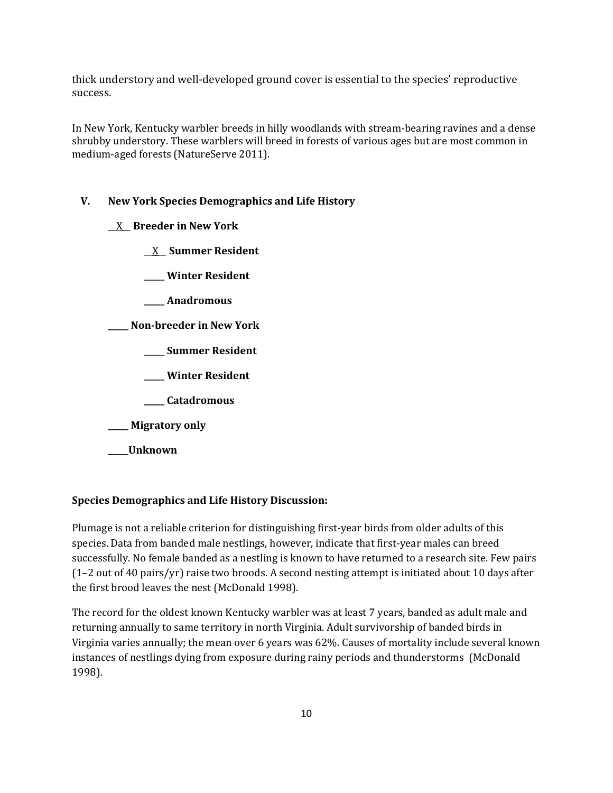thick understory and well-developed ground cover is essential to the species' reproductive success.

In New York, Kentucky warbler breeds in hilly woodlands with stream-bearing ravines and a dense shrubby understory. These warblers will breed in forests of various ages but are most common in medium-aged forests (NatureServe 2011).

#### **V. New York Species Demographics and Life History**

\_\_X\_\_ **Breeder in New York**

\_\_X\_\_ **Summer Resident**

**\_\_\_\_\_ Winter Resident**

**\_\_\_\_\_ Anadromous**

**\_\_\_\_\_ Non-breeder in New York**

**\_\_\_\_\_ Summer Resident**

**\_\_\_\_\_ Winter Resident**

**\_\_\_\_\_ Catadromous**

**\_\_\_\_\_ Migratory only**

**\_\_\_\_\_Unknown**

#### **Species Demographics and Life History Discussion:**

Plumage is not a reliable criterion for distinguishing first-year birds from older adults of this species. Data from banded male nestlings, however, indicate that first-year males can breed successfully. No female banded as a nestling is known to have returned to a research site. Few pairs (1–2 out of 40 pairs/yr) raise two broods. A second nesting attempt is initiated about 10 days after the first brood leaves the nest (McDonald 1998).

The record for the oldest known Kentucky warbler was at least 7 years, banded as adult male and returning annually to same territory in north Virginia. Adult survivorship of banded birds in Virginia varies annually; the mean over 6 years was 62%. Causes of mortality include several known instances of nestlings dying from exposure during rainy periods and thunderstorms (McDonald 1998).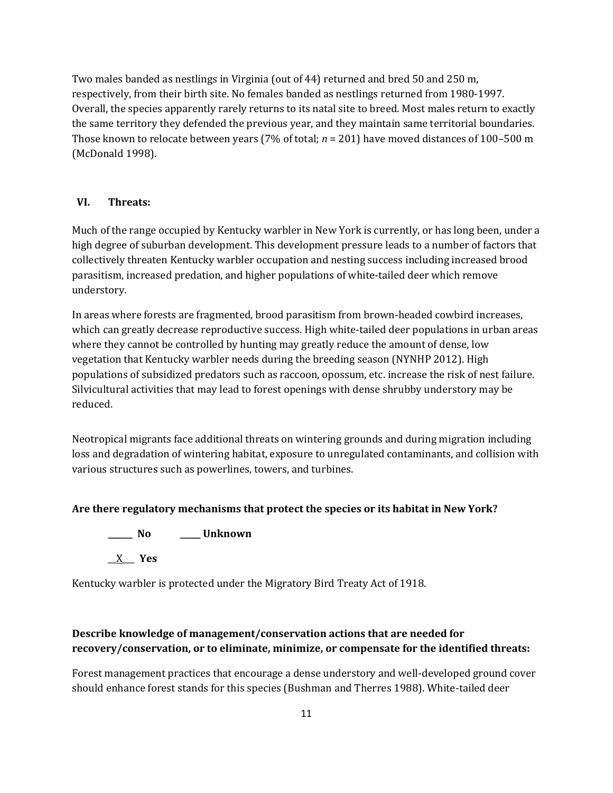Two males banded as nestlings in Virginia (out of 44) returned and bred 50 and 250 m, respectively, from their birth site. No females banded as nestlings returned from 1980-1997. Overall, the species apparently rarely returns to its natal site to breed. Most males return to exactly the same territory they defended the previous year, and they maintain same territorial boundaries. Those known to relocate between years (7% of total; *n* = 201) have moved distances of 100–500 m (McDonald 1998).

### **VI. Threats:**

Much of the range occupied by Kentucky warbler in New York is currently, or has long been, under a high degree of suburban development. This development pressure leads to a number of factors that collectively threaten Kentucky warbler occupation and nesting success including increased brood parasitism, increased predation, and higher populations of white-tailed deer which remove understory.

In areas where forests are fragmented, brood parasitism from brown-headed cowbird increases, which can greatly decrease reproductive success. High white-tailed deer populations in urban areas where they cannot be controlled by hunting may greatly reduce the amount of dense, low vegetation that Kentucky warbler needs during the breeding season (NYNHP 2012). High populations of subsidized predators such as raccoon, opossum, etc. increase the risk of nest failure. Silvicultural activities that may lead to forest openings with dense shrubby understory may be reduced.

Neotropical migrants face additional threats on wintering grounds and during migration including loss and degradation of wintering habitat, exposure to unregulated contaminants, and collision with various structures such as powerlines, towers, and turbines.

### **Are there regulatory mechanisms that protect the species or its habitat in New York?**

**\_\_\_\_\_\_ No \_\_\_\_\_ Unknown**

\_\_X\_\_\_ **Yes** 

Kentucky warbler is protected under the Migratory Bird Treaty Act of 1918.

# **Describe knowledge of management/conservation actions that are needed for recovery/conservation, or to eliminate, minimize, or compensate for the identified threats:**

Forest management practices that encourage a dense understory and well-developed ground cover should enhance forest stands for this species (Bushman and Therres 1988). White-tailed deer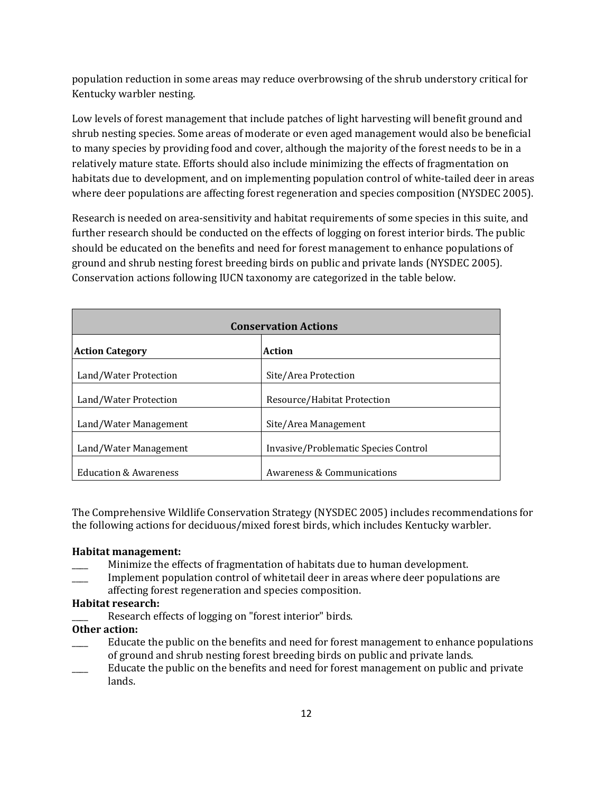population reduction in some areas may reduce overbrowsing of the shrub understory critical for Kentucky warbler nesting.

Low levels of forest management that include patches of light harvesting will benefit ground and shrub nesting species. Some areas of moderate or even aged management would also be beneficial to many species by providing food and cover, although the majority of the forest needs to be in a relatively mature state. Efforts should also include minimizing the effects of fragmentation on habitats due to development, and on implementing population control of white-tailed deer in areas where deer populations are affecting forest regeneration and species composition (NYSDEC 2005).

Research is needed on area-sensitivity and habitat requirements of some species in this suite, and further research should be conducted on the effects of logging on forest interior birds. The public should be educated on the benefits and need for forest management to enhance populations of ground and shrub nesting forest breeding birds on public and private lands (NYSDEC 2005). Conservation actions following IUCN taxonomy are categorized in the table below.

| <b>Conservation Actions</b>      |                                      |  |
|----------------------------------|--------------------------------------|--|
| <b>Action Category</b>           | Action                               |  |
| Land/Water Protection            | Site/Area Protection                 |  |
| Land/Water Protection            | Resource/Habitat Protection          |  |
| Land/Water Management            | Site/Area Management                 |  |
| Land/Water Management            | Invasive/Problematic Species Control |  |
| <b>Education &amp; Awareness</b> | Awareness & Communications           |  |

The Comprehensive Wildlife Conservation Strategy (NYSDEC 2005) includes recommendations for the following actions for deciduous/mixed forest birds, which includes Kentucky warbler.

### **Habitat management:**

- \_\_\_\_ Minimize the effects of fragmentation of habitats due to human development.
- Implement population control of whitetail deer in areas where deer populations are affecting forest regeneration and species composition.

### **Habitat research:**

Research effects of logging on "forest interior" birds.

### **Other action:**

- Educate the public on the benefits and need for forest management to enhance populations of ground and shrub nesting forest breeding birds on public and private lands.
- Educate the public on the benefits and need for forest management on public and private lands.